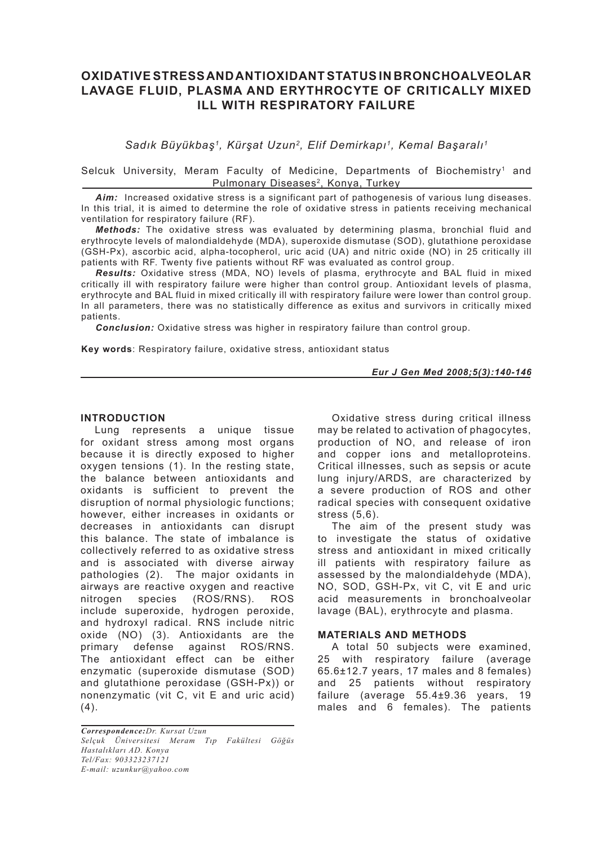# **OXIDATIVE STRESS AND ANTIOXIDANT STATUS IN BRONCHOALVEOLAR LAVAGE FLUID, PLASMA AND ERYTHROCYTE OF CRITICALLY MIXED ILL WITH RESPIRATORY FAILURE**

*Sadık Büyükbaş1, Kürşat Uzun2, Elif Demirkapı1, Kemal Başaralı1*

Selcuk University, Meram Faculty of Medicine, Departments of Biochemistry<sup>1</sup> and Pulmonary Diseases<sup>2</sup>, Konya, Turkey

*Aim:* Increased oxidative stress is a significant part of pathogenesis of various lung diseases. In this trial, it is aimed to determine the role of oxidative stress in patients receiving mechanical ventilation for respiratory failure (RF).

*Methods:* The oxidative stress was evaluated by determining plasma, bronchial fluid and erythrocyte levels of malondialdehyde (MDA), superoxide dismutase (SOD), glutathione peroxidase (GSH-Px), ascorbic acid, alpha-tocopherol, uric acid (UA) and nitric oxide (NO) in 25 critically ill patients with RF. Twenty five patients without RF was evaluated as control group.

*Results:* Oxidative stress (MDA, NO) levels of plasma, erythrocyte and BAL fluid in mixed critically ill with respiratory failure were higher than control group. Antioxidant levels of plasma, erythrocyte and BAL fluid in mixed critically ill with respiratory failure were lower than control group. In all parameters, there was no statistically difference as exitus and survivors in critically mixed patients.

*Conclusion:* Oxidative stress was higher in respiratory failure than control group.

**Key words**: Respiratory failure, oxidative stress, antioxidant status

*Eur J Gen Med 2008;5(3):140-146*

#### **INTRODUCTION**

Lung represents a unique tissue for oxidant stress among most organs because it is directly exposed to higher oxygen tensions (1). In the resting state, the balance between antioxidants and oxidants is sufficient to prevent the disruption of normal physiologic functions; however, either increases in oxidants or decreases in antioxidants can disrupt this balance. The state of imbalance is collectively referred to as oxidative stress and is associated with diverse airway pathologies (2). The major oxidants in airways are reactive oxygen and reactive nitrogen species (ROS/RNS). ROS include superoxide, hydrogen peroxide, and hydroxyl radical. RNS include nitric oxide (NO) (3). Antioxidants are the primary defense against ROS/RNS. The antioxidant effect can be either enzymatic (superoxide dismutase (SOD) and glutathione peroxidase (GSH-Px)) or nonenzymatic (vit C, vit E and uric acid)  $(4).$ 

*Correspondence:Dr. Kursat Uzun Selçuk Üniversitesi Meram Tıp Fakültesi Göğüs Hastalıkları AD. Konya Tel/Fax: 903323237121 E-mail: uzunkur@yahoo.com*

Oxidative stress during critical illness may be related to activation of phagocytes, production of NO, and release of iron and copper ions and metalloproteins. Critical illnesses, such as sepsis or acute lung injury/ARDS, are characterized by a severe production of ROS and other radical species with consequent oxidative stress (5,6).

The aim of the present study was to investigate the status of oxidative stress and antioxidant in mixed critically ill patients with respiratory failure as assessed by the malondialdehyde (MDA), NO, SOD, GSH-Px, vit C, vit E and uric acid measurements in bronchoalveolar lavage (BAL), erythrocyte and plasma.

### **MATERIALS AND METHODS**

A total 50 subjects were examined, 25 with respiratory failure (average 65.6±12.7 years, 17 males and 8 females) and 25 patients without respiratory failure (average 55.4±9.36 years, 19 males and 6 females). The patients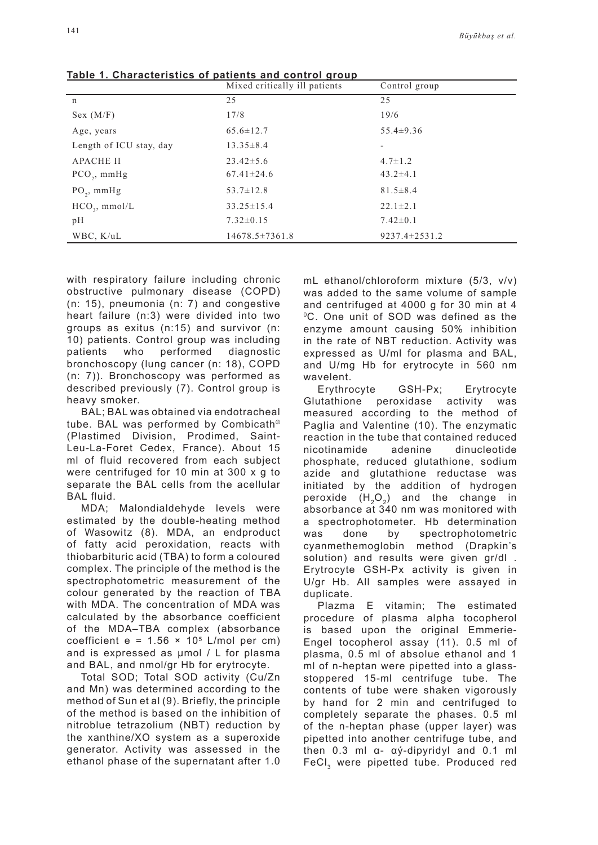| Table 1: Onaracteristics or patients and control group | Mixed critically ill patients | Control group       |
|--------------------------------------------------------|-------------------------------|---------------------|
| n                                                      | 25                            | 25                  |
| Sex (M/F)                                              | 17/8                          | 19/6                |
| Age, years                                             | $65.6 \pm 12.7$               | $55.4 \pm 9.36$     |
| Length of ICU stay, day                                | $13.35 \pm 8.4$               |                     |
| <b>APACHE II</b>                                       | $23.42 \pm 5.6$               | $4.7 \pm 1.2$       |
| $PCO_{2}$ , mmHg                                       | $67.41 \pm 24.6$              | $43.2 \pm 4.1$      |
| $PO_{2}$ , mmHg                                        | $53.7 \pm 12.8$               | $81.5 \pm 8.4$      |
| $HCO3$ , mmol/L                                        | $33.25 \pm 15.4$              | $22.1 \pm 2.1$      |
| pH                                                     | $7.32 \pm 0.15$               | $7.42 \pm 0.1$      |
| WBC, K/uL                                              | $14678.5 \pm 7361.8$          | $9237.4 \pm 2531.2$ |

**Table 1. Characteristics of patients and control group**

with respiratory failure including chronic obstructive pulmonary disease (COPD) (n: 15), pneumonia (n: 7) and congestive heart failure (n:3) were divided into two groups as exitus (n:15) and survivor (n: 10) patients. Control group was including patients who performed diagnostic bronchoscopy (lung cancer (n: 18), COPD (n: 7)). Bronchoscopy was performed as described previously (7). Control group is heavy smoker.

BAL; BAL was obtained via endotracheal tube. BAL was performed by Combicath© (Plastimed Division, Prodimed, Saint-Leu-La-Foret Cedex, France). About 15 ml of fluid recovered from each subject were centrifuged for 10 min at 300 x g to separate the BAL cells from the acellular BAL fluid.

MDA; Malondialdehyde levels were estimated by the double-heating method of Wasowitz (8). MDA, an endproduct of fatty acid peroxidation, reacts with thiobarbituric acid (TBA) to form a coloured complex. The principle of the method is the spectrophotometric measurement of the colour generated by the reaction of TBA with MDA. The concentration of MDA was calculated by the absorbance coefficient of the MDA–TBA complex (absorbance coefficient e =  $1.56 \times 10^5$  L/mol per cm) and is expressed as µmol / L for plasma and BAL, and nmol/gr Hb for erytrocyte.

Total SOD; Total SOD activity (Cu/Zn and Mn) was determined according to the method of Sun et al (9). Briefly, the principle of the method is based on the inhibition of nitroblue tetrazolium (NBT) reduction by the xanthine/XO system as a superoxide generator. Activity was assessed in the ethanol phase of the supernatant after 1.0 mL ethanol/chloroform mixture (5/3, v/v) was added to the same volume of sample and centrifuged at 4000 g for 30 min at 4 0C. One unit of SOD was defined as the enzyme amount causing 50% inhibition in the rate of NBT reduction. Activity was expressed as U/ml for plasma and BAL, and U/mg Hb for erytrocyte in 560 nm wavelent.

Erythrocyte GSH-Px; Erytrocyte Glutathione peroxidase activity was measured according to the method of Paglia and Valentine (10). The enzymatic reaction in the tube that contained reduced nicotinamide adenine dinucleotide phosphate, reduced glutathione, sodium azide and glutathione reductase was initiated by the addition of hydrogen peroxide  $(H_2O_2)$  and the change in absorbance at 340 nm was monitored with a spectrophotometer. Hb determination was done by spectrophotometric cyanmethemoglobin method (Drapkin's solution) and results were given gr/dl . Erytrocyte GSH-Px activity is given in U/gr Hb. All samples were assayed in duplicate.

Plazma E vitamin; The estimated procedure of plasma alpha tocopherol is based upon the original Emmerie-Engel tocopherol assay (11). 0.5 ml of plasma, 0.5 ml of absolue ethanol and 1 ml of n-heptan were pipetted into a glassstoppered 15-ml centrifuge tube. The contents of tube were shaken vigorously by hand for 2 min and centrifuged to completely separate the phases. 0.5 ml of the n-heptan phase (upper layer) was pipetted into another centrifuge tube, and then 0.3 ml α- αý-dipyridyl and 0.1 ml FeCl<sub>3</sub> were pipetted tube. Produced red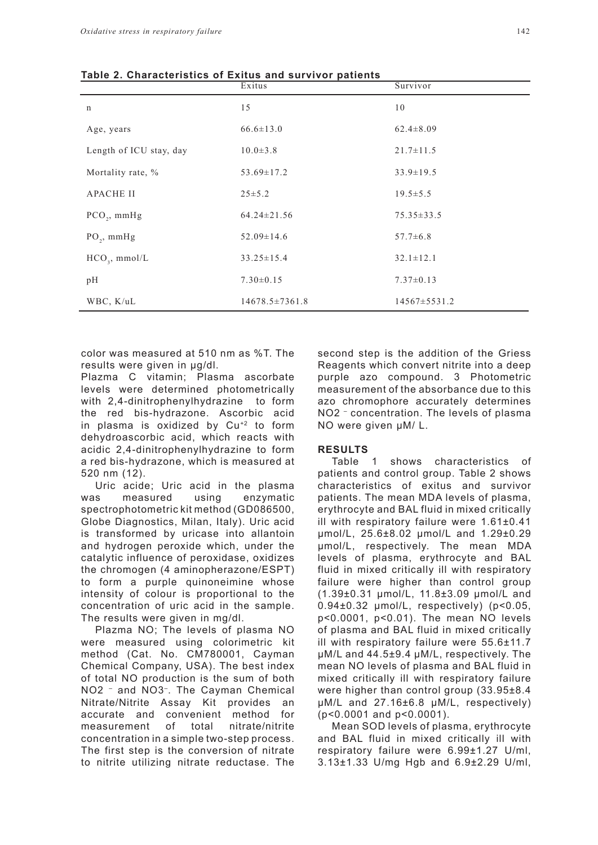| Table 2. Gilardcienstics of Exitus and Survivor patients | Exitus               | Survivor           |
|----------------------------------------------------------|----------------------|--------------------|
| $\mathbf n$                                              | 15                   | 10                 |
| Age, years                                               | $66.6 \pm 13.0$      | $62.4 \pm 8.09$    |
| Length of ICU stay, day                                  | $10.0 \pm 3.8$       | $21.7 \pm 11.5$    |
| Mortality rate, %                                        | $53.69 \pm 17.2$     | $33.9 \pm 19.5$    |
| <b>APACHE II</b>                                         | $25 \pm 5.2$         | $19.5 \pm 5.5$     |
| $PCO_{2}$ , mmHg                                         | $64.24 \pm 21.56$    | $75.35 \pm 33.5$   |
| $PO_2$ , mmHg                                            | $52.09 \pm 14.6$     | $57.7 \pm 6.8$     |
| $HCO3$ , mmol/L                                          | $33.25 \pm 15.4$     | $32.1 \pm 12.1$    |
| pH                                                       | $7.30 \pm 0.15$      | $7.37 \pm 0.13$    |
| WBC, K/uL                                                | $14678.5 \pm 7361.8$ | $14567 \pm 5531.2$ |

**Table 2. Characteristics of Exitus and survivor patients**

color was measured at 510 nm as %T. The results were given in µg/dl.

Plazma C vitamin; Plasma ascorbate levels were determined photometrically with 2,4-dinitrophenylhydrazine to form the red bis-hydrazone. Ascorbic acid in plasma is oxidized by Cu+2 to form dehydroascorbic acid, which reacts with acidic 2,4-dinitrophenylhydrazine to form a red bis-hydrazone, which is measured at 520 nm (12).

Uric acide; Uric acid in the plasma was measured using enzymatic spectrophotometric kit method (GD086500, Globe Diagnostics, Milan, Italy). Uric acid is transformed by uricase into allantoin and hydrogen peroxide which, under the catalytic influence of peroxidase, oxidizes the chromogen (4 aminopherazone/ESPT) to form a purple quinoneimine whose intensity of colour is proportional to the concentration of uric acid in the sample. The results were given in mg/dl.

Plazma NO; The levels of plasma NO were measured using colorimetric kit method (Cat. No. CM780001, Cayman Chemical Company, USA). The best index of total NO production is the sum of both NO2 – and NO3–. The Cayman Chemical Nitrate/Nitrite Assay Kit provides an accurate and convenient method for measurement of total nitrate/nitrite concentration in a simple two-step process. The first step is the conversion of nitrate to nitrite utilizing nitrate reductase. The second step is the addition of the Griess Reagents which convert nitrite into a deep purple azo compound. 3 Photometric measurement of the absorbance due to this azo chromophore accurately determines NO2 – concentration. The levels of plasma NO were given µM/ L.

### **RESULTS**

Table 1 shows characteristics of patients and control group. Table 2 shows characteristics of exitus and survivor patients. The mean MDA levels of plasma, erythrocyte and BAL fluid in mixed critically ill with respiratory failure were 1.61±0.41 µmol/L, 25.6±8.02 µmol/L and 1.29±0.29 µmol/L, respectively. The mean MDA levels of plasma, erythrocyte and BAL fluid in mixed critically ill with respiratory failure were higher than control group (1.39±0.31 µmol/L, 11.8±3.09 µmol/L and 0.94±0.32 µmol/L, respectively) (p<0.05, p<0.0001, p<0.01). The mean NO levels of plasma and BAL fluid in mixed critically ill with respiratory failure were 55.6±11.7 µM/L and 44.5±9.4 µM/L, respectively. The mean NO levels of plasma and BAL fluid in mixed critically ill with respiratory failure were higher than control group (33.95±8.4 µM/L and 27.16±6.8 µM/L, respectively) (p<0.0001 and p<0.0001).

Mean SOD levels of plasma, erythrocyte and BAL fluid in mixed critically ill with respiratory failure were 6.99±1.27 U/ml, 3.13±1.33 U/mg Hgb and 6.9±2.29 U/ml,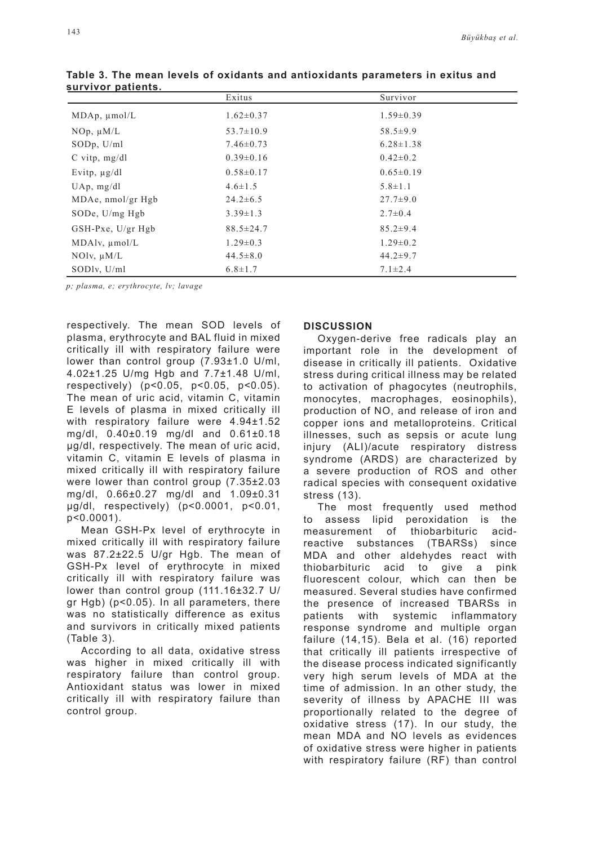| . <del>.</del>         | Exitus          | Survivor        |
|------------------------|-----------------|-----------------|
| $MDAp$ , $µmol/L$      | $1.62 \pm 0.37$ | $1.59\pm0.39$   |
| $NOp, \mu M/L$         | $53.7 \pm 10.9$ | $58.5 \pm 9.9$  |
| SODp, U/ml             | $7.46 \pm 0.73$ | $6.28 \pm 1.38$ |
| $C$ vitp, mg/dl        | $0.39\pm0.16$   | $0.42 \pm 0.2$  |
| Evitp, $\mu$ g/dl      | $0.58 \pm 0.17$ | $0.65 \pm 0.19$ |
| $UAp$ , mg/dl          | $4.6 \pm 1.5$   | $5.8 \pm 1.1$   |
| $MDAe$ , nmol/gr Hgb   | $24.2 \pm 6.5$  | $27.7 \pm 9.0$  |
| SODe, $U/mg$ Hgb       | $3.39 \pm 1.3$  | $2.7 \pm 0.4$   |
| $GSH-Pxe$ , $U/gr$ Hgb | $88.5 \pm 24.7$ | $85.2 \pm 9.4$  |
| $MDAlv, \mu mol/L$     | $1.29 \pm 0.3$  | $1.29 \pm 0.2$  |
| $NOlv$ , $\mu M/L$     | $44.5 \pm 8.0$  | $44.2 \pm 9.7$  |
| SODlv, U/ml            | $6.8 \pm 1.7$   | $7.1 \pm 2.4$   |

**Table 3. The mean levels of oxidants and antioxidants parameters in exitus and survivor patients.**

*p; plasma, e; erythrocyte, lv; lavage*

respectively. The mean SOD levels of plasma, erythrocyte and BAL fluid in mixed critically ill with respiratory failure were lower than control group (7.93±1.0 U/ml, 4.02±1.25 U/mg Hgb and 7.7±1.48 U/ml, respectively) (p<0.05, p<0.05, p<0.05). The mean of uric acid, vitamin C, vitamin E levels of plasma in mixed critically ill with respiratory failure were 4.94±1.52 mg/dl, 0.40±0.19 mg/dl and 0.61±0.18 µg/dl, respectively. The mean of uric acid, vitamin C, vitamin E levels of plasma in mixed critically ill with respiratory failure were lower than control group (7.35±2.03 mg/dl, 0.66±0.27 mg/dl and 1.09±0.31 µg/dl, respectively) (p<0.0001, p<0.01, p<0.0001).

Mean GSH-Px level of erythrocyte in mixed critically ill with respiratory failure was 87.2±22.5 U/gr Hgb. The mean of GSH-Px level of erythrocyte in mixed critically ill with respiratory failure was lower than control group (111.16±32.7 U/ gr Hgb) (p<0.05). In all parameters, there was no statistically difference as exitus and survivors in critically mixed patients (Table 3).

According to all data, oxidative stress was higher in mixed critically ill with respiratory failure than control group. Antioxidant status was lower in mixed critically ill with respiratory failure than control group.

## **DISCUSSION**

Oxygen-derive free radicals play an important role in the development of disease in critically ill patients. Oxidative stress during critical illness may be related to activation of phagocytes (neutrophils, monocytes, macrophages, eosinophils), production of NO, and release of iron and copper ions and metalloproteins. Critical illnesses, such as sepsis or acute lung injury (ALI)/acute respiratory distress syndrome (ARDS) are characterized by a severe production of ROS and other radical species with consequent oxidative stress (13).

The most frequently used method to assess lipid peroxidation is the measurement of thiobarbituric acidreactive substances (TBARSs) since MDA and other aldehydes react with thiobarbituric acid to give a pink fluorescent colour, which can then be measured. Several studies have confirmed the presence of increased TBARSs in patients with systemic inflammatory response syndrome and multiple organ failure (14,15). Bela et al. (16) reported that critically ill patients irrespective of the disease process indicated significantly very high serum levels of MDA at the time of admission. In an other study, the severity of illness by APACHE III was proportionally related to the degree of oxidative stress (17). In our study, the mean MDA and NO levels as evidences of oxidative stress were higher in patients with respiratory failure (RF) than control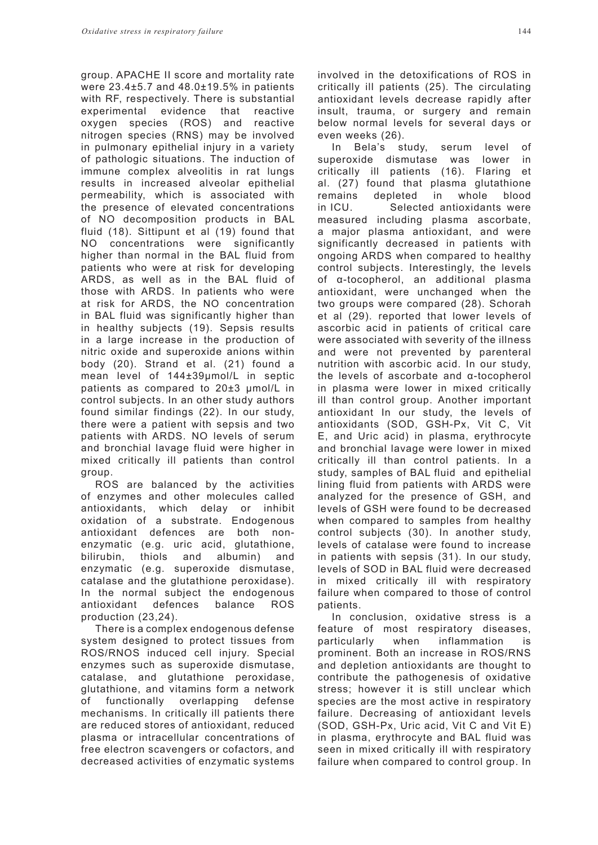group. APACHE II score and mortality rate were 23.4±5.7 and 48.0±19.5% in patients with RF, respectively. There is substantial experimental evidence that reactive oxygen species (ROS) and reactive nitrogen species (RNS) may be involved in pulmonary epithelial injury in a variety of pathologic situations. The induction of immune complex alveolitis in rat lungs results in increased alveolar epithelial permeability, which is associated with the presence of elevated concentrations of NO decomposition products in BAL fluid (18). Sittipunt et al (19) found that NO concentrations were significantly higher than normal in the BAL fluid from patients who were at risk for developing ARDS, as well as in the BAL fluid of those with ARDS. In patients who were at risk for ARDS, the NO concentration in BAL fluid was significantly higher than in healthy subjects (19). Sepsis results in a large increase in the production of nitric oxide and superoxide anions within body (20). Strand et al. (21) found a mean level of 144±39µmol/L in septic patients as compared to 20±3 µmol/L in control subjects. In an other study authors found similar findings (22). In our study, there were a patient with sepsis and two patients with ARDS. NO levels of serum and bronchial lavage fluid were higher in mixed critically ill patients than control group.

ROS are balanced by the activities of enzymes and other molecules called antioxidants, which delay or inhibit oxidation of a substrate. Endogenous antioxidant defences are both nonenzymatic (e.g. uric acid, glutathione, bilirubin, thiols and albumin) and enzymatic (e.g. superoxide dismutase, catalase and the glutathione peroxidase). In the normal subject the endogenous antioxidant defences balance ROS production (23,24).

There is a complex endogenous defense system designed to protect tissues from ROS/RNOS induced cell injury. Special enzymes such as superoxide dismutase, catalase, and glutathione peroxidase, glutathione, and vitamins form a network of functionally overlapping defense mechanisms. In critically ill patients there are reduced stores of antioxidant, reduced plasma or intracellular concentrations of free electron scavengers or cofactors, and decreased activities of enzymatic systems involved in the detoxifications of ROS in critically ill patients (25). The circulating antioxidant levels decrease rapidly after insult, trauma, or surgery and remain below normal levels for several days or even weeks (26).

In Bela's study, serum level of superoxide dismutase was lower in critically ill patients (16). Flaring et al. (27) found that plasma glutathione remains depleted in whole blood in ICU. Selected antioxidants were measured including plasma ascorbate, a major plasma antioxidant, and were significantly decreased in patients with ongoing ARDS when compared to healthy control subjects. Interestingly, the levels of α-tocopherol, an additional plasma antioxidant, were unchanged when the two groups were compared (28). Schorah et al (29). reported that lower levels of ascorbic acid in patients of critical care were associated with severity of the illness and were not prevented by parenteral nutrition with ascorbic acid. In our study, the levels of ascorbate and α-tocopherol in plasma were lower in mixed critically ill than control group. Another important antioxidant In our study, the levels of antioxidants (SOD, GSH-Px, Vit C, Vit E, and Uric acid) in plasma, erythrocyte and bronchial lavage were lower in mixed critically ill than control patients. In a study, samples of BAL fluid and epithelial lining fluid from patients with ARDS were analyzed for the presence of GSH, and levels of GSH were found to be decreased when compared to samples from healthy control subjects (30). In another study, levels of catalase were found to increase in patients with sepsis (31). In our study, levels of SOD in BAL fluid were decreased in mixed critically ill with respiratory failure when compared to those of control patients.

In conclusion, oxidative stress is a feature of most respiratory diseases, particularly when inflammation is prominent. Both an increase in ROS/RNS and depletion antioxidants are thought to contribute the pathogenesis of oxidative stress; however it is still unclear which species are the most active in respiratory failure. Decreasing of antioxidant levels (SOD, GSH-Px, Uric acid, Vit C and Vit E) in plasma, erythrocyte and BAL fluid was seen in mixed critically ill with respiratory failure when compared to control group. In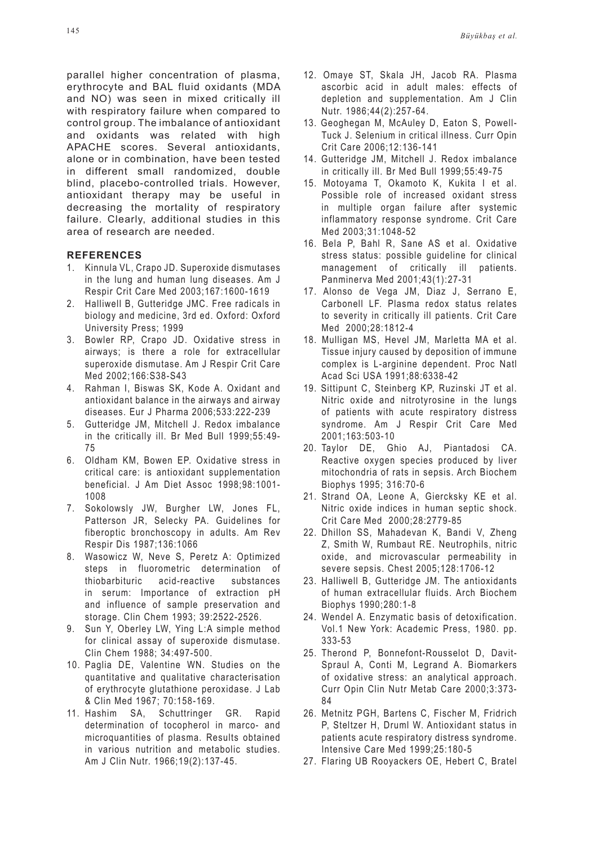parallel higher concentration of plasma, erythrocyte and BAL fluid oxidants (MDA and NO) was seen in mixed critically ill with respiratory failure when compared to control group. The imbalance of antioxidant and oxidants was related with high APACHE scores. Several antioxidants, alone or in combination, have been tested in different small randomized, double blind, placebo-controlled trials. However, antioxidant therapy may be useful in decreasing the mortality of respiratory failure. Clearly, additional studies in this area of research are needed.

#### **REFERENCES**

- 1. Kinnula VL, Crapo JD. Superoxide dismutases in the lung and human lung diseases. Am J Respir Crit Care Med 2003;167:1600-1619
- 2. Halliwell B, Gutteridge JMC. Free radicals in biology and medicine, 3rd ed. Oxford: Oxford University Press; 1999
- 3. Bowler RP, Crapo JD. Oxidative stress in airways; is there a role for extracellular superoxide dismutase. Am J Respir Crit Care Med 2002;166:S38-S43
- 4. Rahman I, Biswas SK, Kode A. Oxidant and antioxidant balance in the airways and airway diseases. Eur J Pharma 2006;533:222-239
- 5. Gutteridge JM, Mitchell J. Redox imbalance in the critically ill. Br Med Bull 1999;55:49- 75
- 6. Oldham KM, Bowen EP. Oxidative stress in critical care: is antioxidant supplementation beneficial. J Am Diet Assoc 1998;98:1001- 1008
- 7. Sokolowsly JW, Burgher LW, Jones FL, Patterson JR, Selecky PA. Guidelines for fiberoptic bronchoscopy in adults. Am Rev Respir Dis 1987;136:1066
- 8. Wasowicz W, Neve S, Peretz A: Optimized steps in fluorometric determination of thiobarbituric acid-reactive substances in serum: Importance of extraction pH and influence of sample preservation and storage. Clin Chem 1993; 39:2522-2526.
- 9. Sun Y, Oberley LW, Ying L:A simple method for clinical assay of superoxide dismutase. Clin Chem 1988; 34:497-500.
- 10. Paglia DE, Valentine WN. Studies on the quantitative and qualitative characterisation of erythrocyte glutathione peroxidase. J Lab & Clin Med 1967; 70:158-169.
- 11. Hashim SA, Schuttringer GR. Rapid determination of tocopherol in marco- and microquantities of plasma. Results obtained in various nutrition and metabolic studies. Am J Clin Nutr. 1966;19(2):137-45.
- 12. Omaye ST, Skala JH, Jacob RA. Plasma ascorbic acid in adult males: effects of depletion and supplementation. Am J Clin Nutr. 1986;44(2):257-64.
- 13. Geoghegan M, McAuley D, Eaton S, Powell-Tuck J. Selenium in critical illness. Curr Opin Crit Care 2006;12:136-141
- 14. Gutteridge JM, Mitchell J. Redox imbalance in critically ill. Br Med Bull 1999;55:49-75
- 15. Motoyama T, Okamoto K, Kukita I et al. Possible role of increased oxidant stress in multiple organ failure after systemic inflammatory response syndrome. Crit Care Med 2003;31:1048-52
- 16. Bela P, Bahl R, Sane AS et al. Oxidative stress status: possible guideline for clinical management of critically ill patients. Panminerva Med 2001;43(1):27-31
- 17. Alonso de Vega JM, Diaz J, Serrano E, Carbonell LF. Plasma redox status relates to severity in critically ill patients. Crit Care Med 2000;28:1812-4
- 18. Mulligan MS, Hevel JM, Marletta MA et al. Tissue injury caused by deposition of immune complex is L-arginine dependent. Proc Natl Acad Sci USA 1991;88:6338-42
- 19. Sittipunt C, Steinberg KP, Ruzinski JT et al. Nitric oxide and nitrotyrosine in the lungs of patients with acute respiratory distress syndrome. Am J Respir Crit Care Med 2001;163:503-10
- 20. Taylor DE, Ghio AJ, Piantadosi CA. Reactive oxygen species produced by liver mitochondria of rats in sepsis. Arch Biochem Biophys 1995; 316:70-6
- 21. Strand OA, Leone A, Giercksky KE et al. Nitric oxide indices in human septic shock. Crit Care Med 2000;28:2779-85
- 22. Dhillon SS, Mahadevan K, Bandi V, Zheng Z, Smith W, Rumbaut RE. Neutrophils, nitric oxide, and microvascular permeability in severe sepsis. Chest 2005;128:1706-12
- 23. Halliwell B, Gutteridge JM. The antioxidants of human extracellular fluids. Arch Biochem Biophys 1990;280:1-8
- 24. Wendel A. Enzymatic basis of detoxification. Vol.1 New York: Academic Press, 1980. pp. 333-53
- 25. Therond P, Bonnefont-Rousselot D, Davit-Spraul A, Conti M, Legrand A. Biomarkers of oxidative stress: an analytical approach. Curr Opin Clin Nutr Metab Care 2000;3:373- 84
- 26. Metnitz PGH, Bartens C, Fischer M, Fridrich P, Steltzer H, Druml W. Antioxidant status in patients acute respiratory distress syndrome. Intensive Care Med 1999;25:180-5
- 27. Flaring UB Rooyackers OE, Hebert C, Bratel